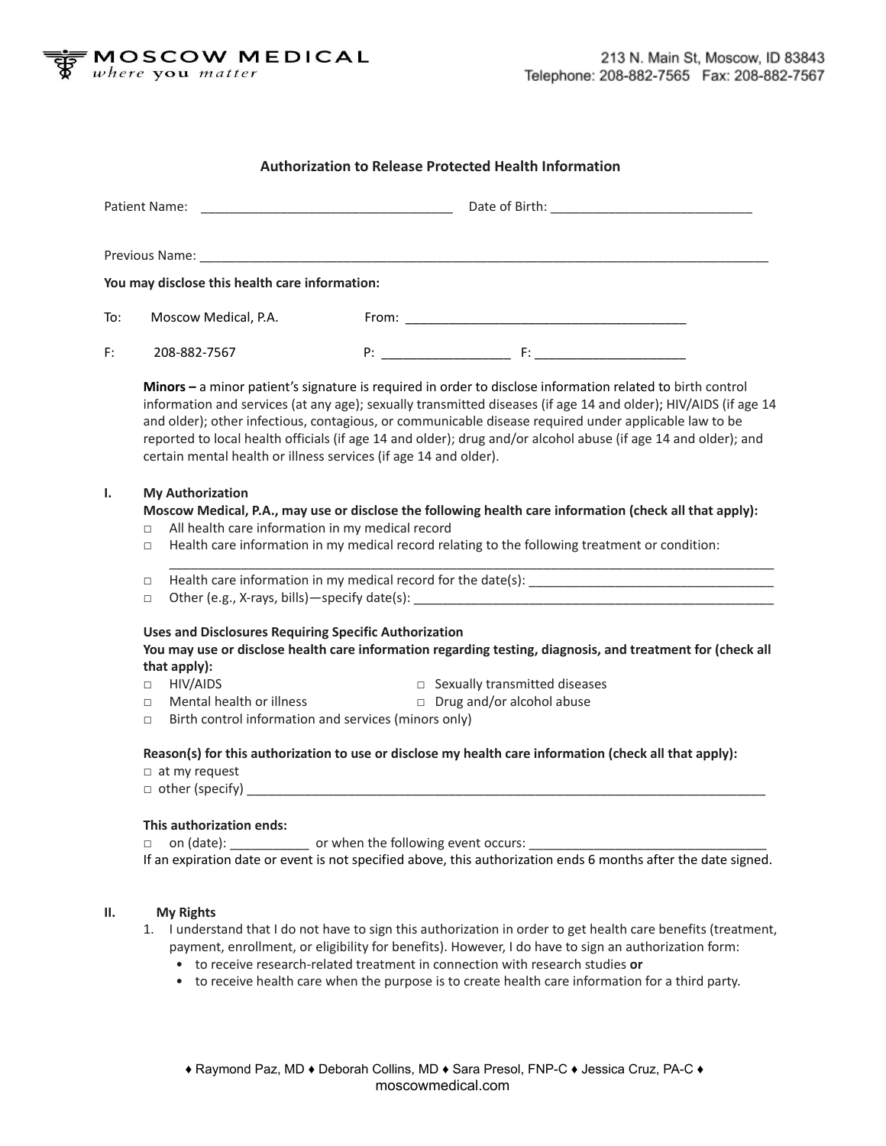

## **Authorization to Release Protected Health Information**

|     | You may disclose this health care information:                                                                                 |                                                                                                                                                                                                                                                                                                                                                                                                                                                                                                                              |  |
|-----|--------------------------------------------------------------------------------------------------------------------------------|------------------------------------------------------------------------------------------------------------------------------------------------------------------------------------------------------------------------------------------------------------------------------------------------------------------------------------------------------------------------------------------------------------------------------------------------------------------------------------------------------------------------------|--|
| To: | Moscow Medical, P.A.                                                                                                           |                                                                                                                                                                                                                                                                                                                                                                                                                                                                                                                              |  |
| F:  | 208-882-7567                                                                                                                   |                                                                                                                                                                                                                                                                                                                                                                                                                                                                                                                              |  |
|     |                                                                                                                                | Minors - a minor patient's signature is required in order to disclose information related to birth control<br>information and services (at any age); sexually transmitted diseases (if age 14 and older); HIV/AIDS (if age 14<br>and older); other infectious, contagious, or communicable disease required under applicable law to be<br>reported to local health officials (if age 14 and older); drug and/or alcohol abuse (if age 14 and older); and<br>certain mental health or illness services (if age 14 and older). |  |
| Ι.  | <b>My Authorization</b><br>$\Box$<br>$\Box$                                                                                    | Moscow Medical, P.A., may use or disclose the following health care information (check all that apply):<br>All health care information in my medical record<br>Health care information in my medical record relating to the following treatment or condition:                                                                                                                                                                                                                                                                |  |
|     | $\Box$<br>$\Box$                                                                                                               |                                                                                                                                                                                                                                                                                                                                                                                                                                                                                                                              |  |
|     | that apply):                                                                                                                   | <b>Uses and Disclosures Requiring Specific Authorization</b><br>You may use or disclose health care information regarding testing, diagnosis, and treatment for (check all                                                                                                                                                                                                                                                                                                                                                   |  |
|     | HIV/AIDS<br>$\Box$                                                                                                             | $\Box$ Sexually transmitted diseases                                                                                                                                                                                                                                                                                                                                                                                                                                                                                         |  |
|     | Mental health or illness<br>$\Box$<br>$\Box$                                                                                   | $\Box$ Drug and/or alcohol abuse<br>Birth control information and services (minors only)                                                                                                                                                                                                                                                                                                                                                                                                                                     |  |
|     | Reason(s) for this authorization to use or disclose my health care information (check all that apply):<br>$\Box$ at my request |                                                                                                                                                                                                                                                                                                                                                                                                                                                                                                                              |  |
|     | This authorization ends:<br>$\Box$                                                                                             | on (date): ______________ or when the following event occurs:<br>If an expiration date or event is not specified above, this authorization ends 6 months after the date signed.                                                                                                                                                                                                                                                                                                                                              |  |
| н.  | <b>My Rights</b><br>1.                                                                                                         | I understand that I do not have to sign this authorization in order to get health care benefits (treatment,<br>payment, enrollment, or eligibility for benefits). However, I do have to sign an authorization form:<br>• to receive research-related treatment in connection with research studies or                                                                                                                                                                                                                        |  |

• to receive health care when the purpose is to create health care information for a third party.